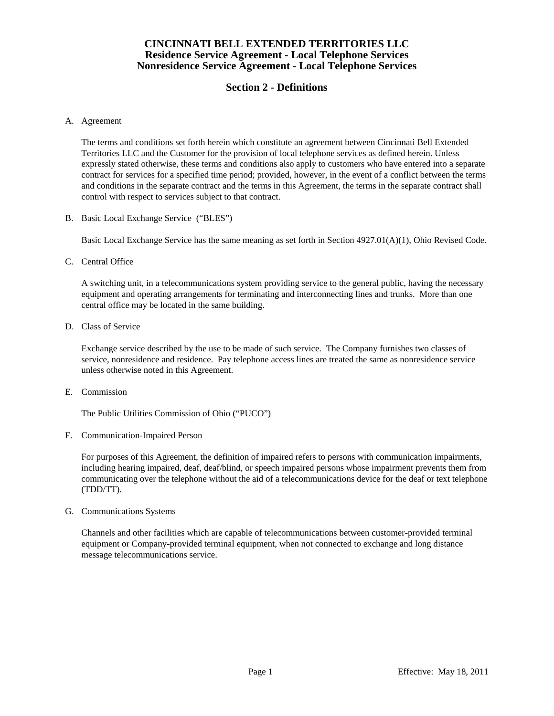# **Section 2 - Definitions**

#### A. Agreement

 The terms and conditions set forth herein which constitute an agreement between Cincinnati Bell Extended Territories LLC and the Customer for the provision of local telephone services as defined herein. Unless expressly stated otherwise, these terms and conditions also apply to customers who have entered into a separate contract for services for a specified time period; provided, however, in the event of a conflict between the terms and conditions in the separate contract and the terms in this Agreement, the terms in the separate contract shall control with respect to services subject to that contract.

B. Basic Local Exchange Service ("BLES")

Basic Local Exchange Service has the same meaning as set forth in Section 4927.01(A)(1), Ohio Revised Code.

C. Central Office

 A switching unit, in a telecommunications system providing service to the general public, having the necessary equipment and operating arrangements for terminating and interconnecting lines and trunks. More than one central office may be located in the same building.

D. Class of Service

 Exchange service described by the use to be made of such service. The Company furnishes two classes of service, nonresidence and residence. Pay telephone access lines are treated the same as nonresidence service unless otherwise noted in this Agreement.

E. Commission

The Public Utilities Commission of Ohio ("PUCO")

F. Communication-Impaired Person

 For purposes of this Agreement, the definition of impaired refers to persons with communication impairments, including hearing impaired, deaf, deaf/blind, or speech impaired persons whose impairment prevents them from communicating over the telephone without the aid of a telecommunications device for the deaf or text telephone (TDD/TT).

G. Communications Systems

 Channels and other facilities which are capable of telecommunications between customer-provided terminal equipment or Company-provided terminal equipment, when not connected to exchange and long distance message telecommunications service.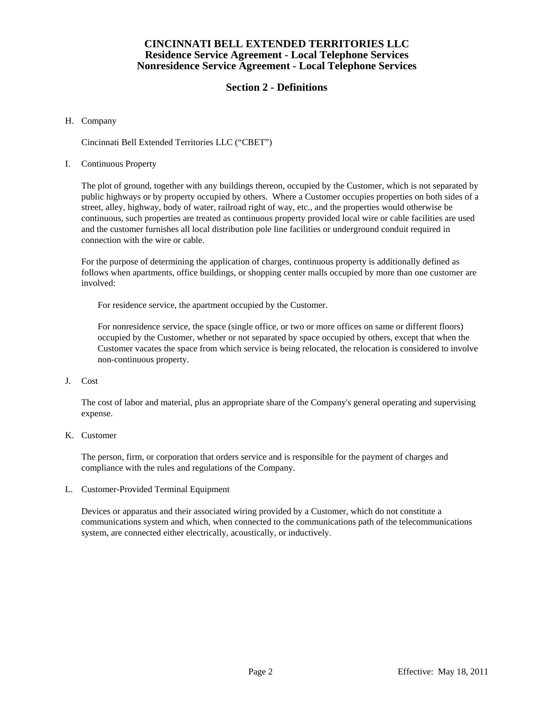# **Section 2 - Definitions**

### H. Company

Cincinnati Bell Extended Territories LLC ("CBET")

### I. Continuous Property

 The plot of ground, together with any buildings thereon, occupied by the Customer, which is not separated by public highways or by property occupied by others. Where a Customer occupies properties on both sides of a street, alley, highway, body of water, railroad right of way, etc., and the properties would otherwise be continuous, such properties are treated as continuous property provided local wire or cable facilities are used and the customer furnishes all local distribution pole line facilities or underground conduit required in connection with the wire or cable.

 For the purpose of determining the application of charges, continuous property is additionally defined as follows when apartments, office buildings, or shopping center malls occupied by more than one customer are involved:

For residence service, the apartment occupied by the Customer.

 For nonresidence service, the space (single office, or two or more offices on same or different floors) occupied by the Customer, whether or not separated by space occupied by others, except that when the Customer vacates the space from which service is being relocated, the relocation is considered to involve non-continuous property.

## J. Cost

 The cost of labor and material, plus an appropriate share of the Company's general operating and supervising expense.

## K. Customer

 The person, firm, or corporation that orders service and is responsible for the payment of charges and compliance with the rules and regulations of the Company.

L. Customer-Provided Terminal Equipment

 Devices or apparatus and their associated wiring provided by a Customer, which do not constitute a communications system and which, when connected to the communications path of the telecommunications system, are connected either electrically, acoustically, or inductively.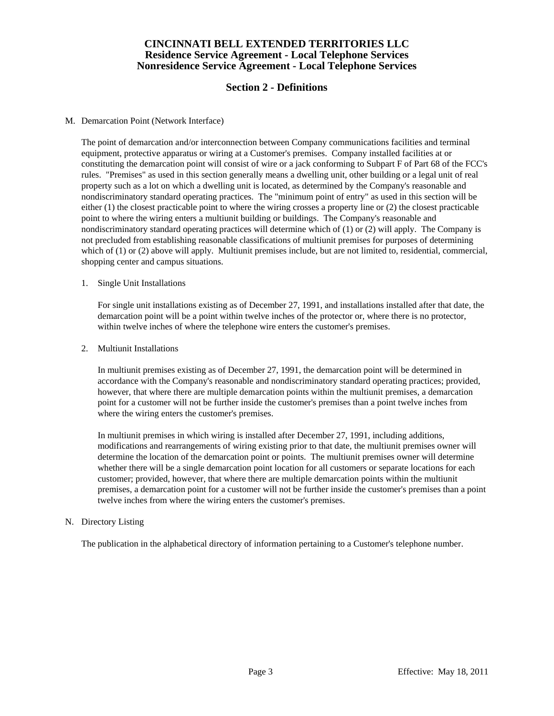# **Section 2 - Definitions**

### M. Demarcation Point (Network Interface)

 The point of demarcation and/or interconnection between Company communications facilities and terminal equipment, protective apparatus or wiring at a Customer's premises. Company installed facilities at or constituting the demarcation point will consist of wire or a jack conforming to Subpart F of Part 68 of the FCC's rules. "Premises" as used in this section generally means a dwelling unit, other building or a legal unit of real property such as a lot on which a dwelling unit is located, as determined by the Company's reasonable and nondiscriminatory standard operating practices. The "minimum point of entry" as used in this section will be either (1) the closest practicable point to where the wiring crosses a property line or (2) the closest practicable point to where the wiring enters a multiunit building or buildings. The Company's reasonable and nondiscriminatory standard operating practices will determine which of (1) or (2) will apply. The Company is not precluded from establishing reasonable classifications of multiunit premises for purposes of determining which of (1) or (2) above will apply. Multiunit premises include, but are not limited to, residential, commercial, shopping center and campus situations.

#### 1. Single Unit Installations

 For single unit installations existing as of December 27, 1991, and installations installed after that date, the demarcation point will be a point within twelve inches of the protector or, where there is no protector, within twelve inches of where the telephone wire enters the customer's premises.

#### 2. Multiunit Installations

 In multiunit premises existing as of December 27, 1991, the demarcation point will be determined in accordance with the Company's reasonable and nondiscriminatory standard operating practices; provided, however, that where there are multiple demarcation points within the multiunit premises, a demarcation point for a customer will not be further inside the customer's premises than a point twelve inches from where the wiring enters the customer's premises.

 In multiunit premises in which wiring is installed after December 27, 1991, including additions, modifications and rearrangements of wiring existing prior to that date, the multiunit premises owner will determine the location of the demarcation point or points. The multiunit premises owner will determine whether there will be a single demarcation point location for all customers or separate locations for each customer; provided, however, that where there are multiple demarcation points within the multiunit premises, a demarcation point for a customer will not be further inside the customer's premises than a point twelve inches from where the wiring enters the customer's premises.

#### N. Directory Listing

The publication in the alphabetical directory of information pertaining to a Customer's telephone number.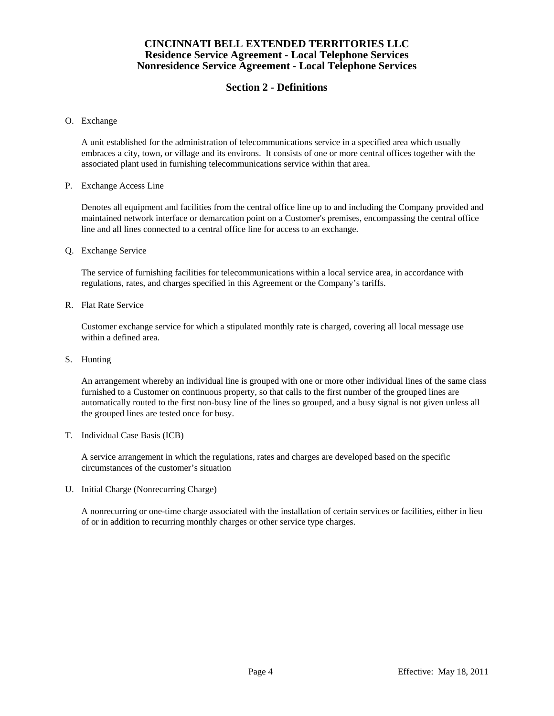# **Section 2 - Definitions**

O. Exchange

 A unit established for the administration of telecommunications service in a specified area which usually embraces a city, town, or village and its environs. It consists of one or more central offices together with the associated plant used in furnishing telecommunications service within that area.

P. Exchange Access Line

 Denotes all equipment and facilities from the central office line up to and including the Company provided and maintained network interface or demarcation point on a Customer's premises, encompassing the central office line and all lines connected to a central office line for access to an exchange.

Q. Exchange Service

 The service of furnishing facilities for telecommunications within a local service area, in accordance with regulations, rates, and charges specified in this Agreement or the Company's tariffs.

R. Flat Rate Service

 Customer exchange service for which a stipulated monthly rate is charged, covering all local message use within a defined area.

S. Hunting

 An arrangement whereby an individual line is grouped with one or more other individual lines of the same class furnished to a Customer on continuous property, so that calls to the first number of the grouped lines are automatically routed to the first non-busy line of the lines so grouped, and a busy signal is not given unless all the grouped lines are tested once for busy.

T. Individual Case Basis (ICB)

 A service arrangement in which the regulations, rates and charges are developed based on the specific circumstances of the customer's situation

U. Initial Charge (Nonrecurring Charge)

 A nonrecurring or one-time charge associated with the installation of certain services or facilities, either in lieu of or in addition to recurring monthly charges or other service type charges.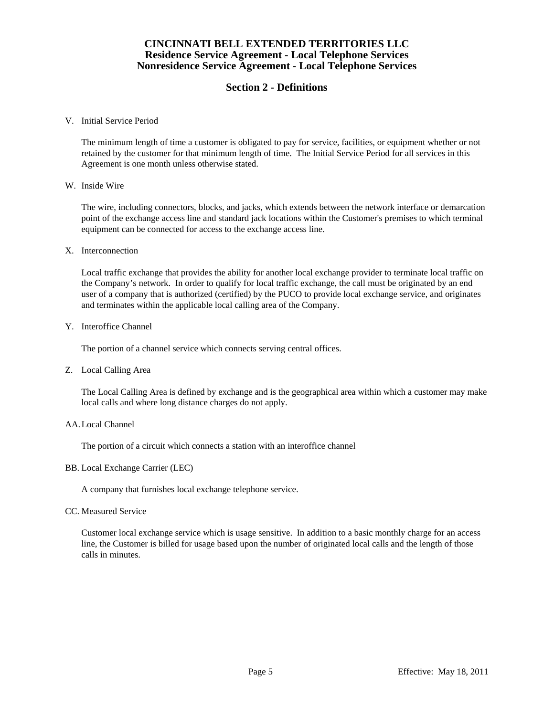# **Section 2 - Definitions**

#### V. Initial Service Period

 The minimum length of time a customer is obligated to pay for service, facilities, or equipment whether or not retained by the customer for that minimum length of time. The Initial Service Period for all services in this Agreement is one month unless otherwise stated.

#### W. Inside Wire

 The wire, including connectors, blocks, and jacks, which extends between the network interface or demarcation point of the exchange access line and standard jack locations within the Customer's premises to which terminal equipment can be connected for access to the exchange access line.

#### X. Interconnection

 Local traffic exchange that provides the ability for another local exchange provider to terminate local traffic on the Company's network. In order to qualify for local traffic exchange, the call must be originated by an end user of a company that is authorized (certified) by the PUCO to provide local exchange service, and originates and terminates within the applicable local calling area of the Company.

#### Y. Interoffice Channel

The portion of a channel service which connects serving central offices.

## Z. Local Calling Area

 The Local Calling Area is defined by exchange and is the geographical area within which a customer may make local calls and where long distance charges do not apply.

#### AA. Local Channel

The portion of a circuit which connects a station with an interoffice channel

## BB. Local Exchange Carrier (LEC)

A company that furnishes local exchange telephone service.

#### CC. Measured Service

 Customer local exchange service which is usage sensitive. In addition to a basic monthly charge for an access line, the Customer is billed for usage based upon the number of originated local calls and the length of those calls in minutes.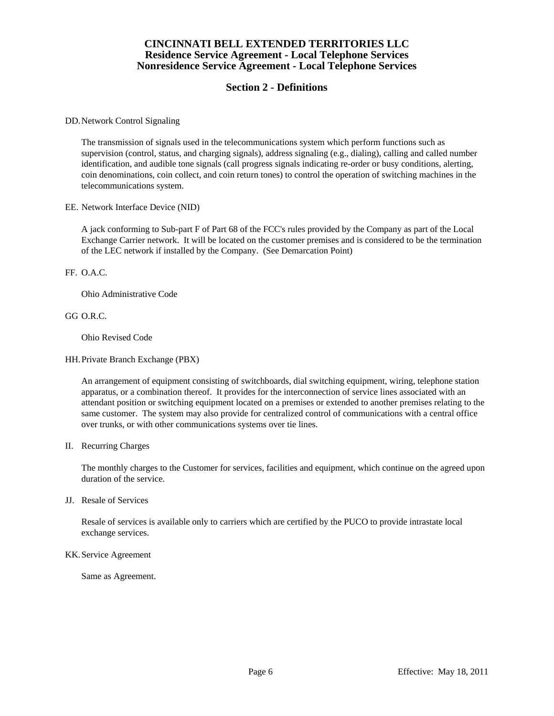# **Section 2 - Definitions**

DD. Network Control Signaling

 The transmission of signals used in the telecommunications system which perform functions such as supervision (control, status, and charging signals), address signaling (e.g., dialing), calling and called number identification, and audible tone signals (call progress signals indicating re-order or busy conditions, alerting, coin denominations, coin collect, and coin return tones) to control the operation of switching machines in the telecommunications system.

EE. Network Interface Device (NID)

 A jack conforming to Sub-part F of Part 68 of the FCC's rules provided by the Company as part of the Local Exchange Carrier network. It will be located on the customer premises and is considered to be the termination of the LEC network if installed by the Company. (See Demarcation Point)

FF. O.A.C.

Ohio Administrative Code

GG O.R.C.

Ohio Revised Code

HH. Private Branch Exchange (PBX)

 An arrangement of equipment consisting of switchboards, dial switching equipment, wiring, telephone station apparatus, or a combination thereof. It provides for the interconnection of service lines associated with an attendant position or switching equipment located on a premises or extended to another premises relating to the same customer. The system may also provide for centralized control of communications with a central office over trunks, or with other communications systems over tie lines.

II. Recurring Charges

 The monthly charges to the Customer for services, facilities and equipment, which continue on the agreed upon duration of the service.

JJ. Resale of Services

 Resale of services is available only to carriers which are certified by the PUCO to provide intrastate local exchange services.

#### KK. Service Agreement

Same as Agreement.